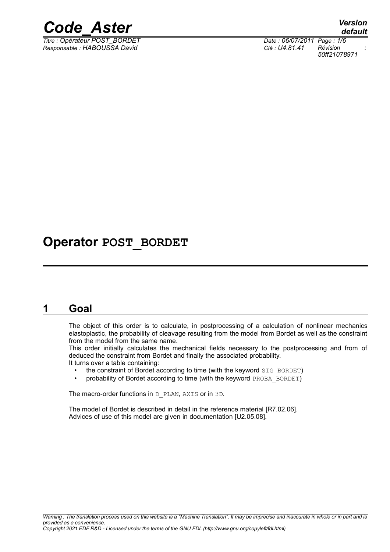

*Titre : Opérateur POST\_BORDET Date : 06/07/2011 Page : 1/6 Responsable : HABOUSSA David Clé : U4.81.41 Révision :*

*50ff21078971*

## **Operator POST\_BORDET**

#### **1 Goal**

The object of this order is to calculate, in postprocessing of a calculation of nonlinear mechanics elastoplastic, the probability of cleavage resulting from the model from Bordet as well as the constraint from the model from the same name.

This order initially calculates the mechanical fields necessary to the postprocessing and from of deduced the constraint from Bordet and finally the associated probability. It turns over a table containing:

- the constraint of Bordet according to time (with the keyword SIG BORDET)
- probability of Bordet according to time (with the keyword PROBA\_BORDET)

The macro-order functions in D\_PLAN, AXIS or in 3D.

The model of Bordet is described in detail in the reference material [R7.02.06]. Advices of use of this model are given in documentation [U2.05.08].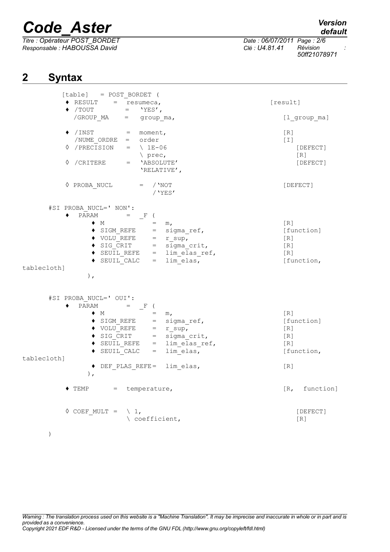# *Code\_Aster Version*

*Titre : Opérateur POST\_BORDET Date : 06/07/2011 Page : 2/6 Responsable : HABOUSSA David Clé : U4.81.41 Révision :*

*50ff21078971*

## **2 Syntax**

| $[table] = POST BORDER ($                                                                                            |                                                                                                                                                                                                                                                                                                                                                                                                                          |                                                                                                |
|----------------------------------------------------------------------------------------------------------------------|--------------------------------------------------------------------------------------------------------------------------------------------------------------------------------------------------------------------------------------------------------------------------------------------------------------------------------------------------------------------------------------------------------------------------|------------------------------------------------------------------------------------------------|
| $\triangleleft$ RESULT = resumeca,                                                                                   |                                                                                                                                                                                                                                                                                                                                                                                                                          | [result]                                                                                       |
| $\bullet \quad / \text{TOUT} \qquad \qquad = \qquad \text{YES} \prime \text{ ,}$                                     |                                                                                                                                                                                                                                                                                                                                                                                                                          |                                                                                                |
| /GROUP_MA<br>$=$ group_ma,                                                                                           |                                                                                                                                                                                                                                                                                                                                                                                                                          | [1 group ma]                                                                                   |
| $\bullet$ /INST = moment,                                                                                            |                                                                                                                                                                                                                                                                                                                                                                                                                          | $\lceil R \rceil$                                                                              |
| /NUME ORDRE = order                                                                                                  |                                                                                                                                                                                                                                                                                                                                                                                                                          | $\lceil 1 \rceil$                                                                              |
| $\sqrt{PRECISION} = \sqrt{1E-06}$                                                                                    |                                                                                                                                                                                                                                                                                                                                                                                                                          | [DEFECT]                                                                                       |
| \ prec,<br>$\Diamond$ / CRITERE                                                                                      | $=$ 'ABSOLUTE'                                                                                                                                                                                                                                                                                                                                                                                                           | [R]                                                                                            |
|                                                                                                                      | 'RELATIVE',                                                                                                                                                                                                                                                                                                                                                                                                              | [DEFECT]                                                                                       |
| $\Diamond$ PROBA NUCL = / NOT                                                                                        | / 'YES'                                                                                                                                                                                                                                                                                                                                                                                                                  | [DEFECT]                                                                                       |
| #SI PROBA_NUCL=' NON':                                                                                               |                                                                                                                                                                                                                                                                                                                                                                                                                          |                                                                                                |
| $\bullet$ PARAM = F (<br>$\bullet$ M<br>A SIGM_REFE = sigma_ref,<br>→ VOLU_REFE = r_sup,<br>→ SIG_CRIT = sigma_crit, | $=$ m,<br>$\sqrt{\text{SEUIL} \text{REFE}}$ = $\lim_{\text{class} \text{ref}}$<br>$\sqrt{\text{SEUIL} \text{CALC}}$ = $\lim_{\text{class} \text{class}}$                                                                                                                                                                                                                                                                 | $\lceil R \rceil$<br>[function]<br>$\lceil R \rceil$<br>[R]<br>$\lceil R \rceil$<br>[function, |
| tablecloth]<br>$\,$ ,                                                                                                |                                                                                                                                                                                                                                                                                                                                                                                                                          |                                                                                                |
| #SI PROBA NUCL=' OUI':<br>$\bullet$ PARAM = $\text{F}$ (                                                             |                                                                                                                                                                                                                                                                                                                                                                                                                          |                                                                                                |
| $\bullet$ M<br>$\bullet$ SIGM REFE = sigma ref,<br>tablecloth]                                                       | $=$ m,<br>$\begin{array}{rcl}\n\text{\textbullet} & \text{SIGM\_REFE} & = & \text{``--} \text{``--}\n\end{array}\n\begin{array}{rcl}\n\text{\textbullet} & \text{VOLU\_REFE} & = & r\_sup, \\ \text{\textbullet} & \text{SIG\_CRIT} & = & \text{sigma\_crit}, \\ \text{\textbullet} & \text{SEUIL\_REFE} & = & \text{lim\_elas\_ref}, \\ \text{\textbullet} & \text{SEUIL\_CALC} & = & \text{lim\_elas}, \\ \end{array}$ | $\lceil R \rceil$<br>[function]<br>[R]<br>[R]<br>$\lceil R \rceil$<br>[function,               |
| ◆ DEF PLAS REFE= lim elas,<br>$\,$ ,                                                                                 |                                                                                                                                                                                                                                                                                                                                                                                                                          | $\lceil R \rceil$                                                                              |
| $\bullet$ TEMP = temperature,                                                                                        |                                                                                                                                                                                                                                                                                                                                                                                                                          | [R, function]                                                                                  |
| $\Diamond$ COEF MULT = $\setminus$ 1,                                                                                | \ coefficient,                                                                                                                                                                                                                                                                                                                                                                                                           | [DEFECT]<br>[R]                                                                                |

*Warning : The translation process used on this website is a "Machine Translation". It may be imprecise and inaccurate in whole or in part and is provided as a convenience. Copyright 2021 EDF R&D - Licensed under the terms of the GNU FDL (http://www.gnu.org/copyleft/fdl.html)*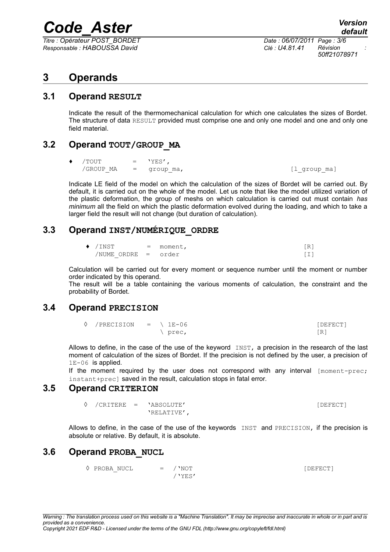## *Code\_Aster Version*

*Titre : Opérateur POST\_BORDET Date : 06/07/2011 Page : 3/6 Responsable : HABOUSSA David Clé : U4.81.41 Révision :*

*50ff21078971*

### **3 Operands**

#### **3.1 Operand RESULT**

Indicate the result of the thermomechanical calculation for which one calculates the sizes of Bordet. The structure of data RESULT provided must comprise one and only one model and one and only one field material.

#### **3.2 Operand TOUT/GROUP\_MA**

| ٠ | /TOUT     |     | 'YES'.    |  |  |
|---|-----------|-----|-----------|--|--|
|   | /GROUP MA | $=$ | group ma, |  |  |

[l group ma]

Indicate LE field of the model on which the calculation of the sizes of Bordet will be carried out. By default, it is carried out on the whole of the model. Let us note that like the model utilized variation of the plastic deformation, the group of meshs on which calculation is carried out must contain *has minimum* all the field on which the plastic deformation evolved during the loading, and which to take a larger field the result will not change (but duration of calculation).

#### **3.3 Operand INST/NUMÉRIQUE\_ORDRE**

| $\blacklozenge$ /INST | = moment, | [R] |
|-----------------------|-----------|-----|
| /NUME ORDRE = order   |           |     |

Calculation will be carried out for every moment or sequence number until the moment or number order indicated by this operand.

The result will be a table containing the various moments of calculation, the constraint and the probability of Bordet.

#### **3.4 Operand PRECISION**

 $\Diamond$  /PRECISION = \ 1E-06 [DEFECT]  $\setminus$  prec, [R]

Allows to define, in the case of the use of the keyword INST, a precision in the research of the last moment of calculation of the sizes of Bordet. If the precision is not defined by the user, a precision of 1E-06 is applied.

If the moment required by the user does not correspond with any interval  $[moment-prec;$ instant+prec] saved in the result, calculation stops in fatal error.

#### **3.5 Operand CRITERION**

◊ /CRITERE = 'ABSOLUTE' [DEFECT] 'RELATIVE',

Allows to define, in the case of the use of the keywords INST and PRECISION, if the precision is absolute or relative. By default, it is absolute.

#### **3.6 Operand PROBA\_NUCL**

 ◊ PROBA\_NUCL = /'NOT [DEFECT] /'YES'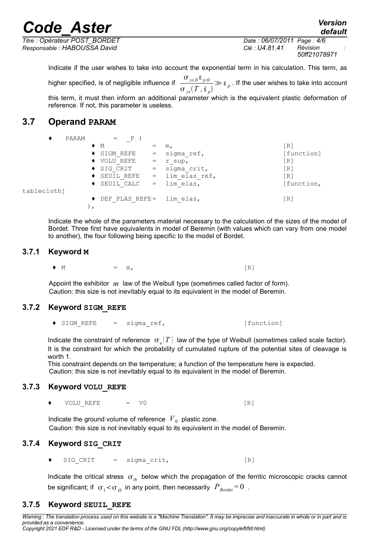*Titre : Opérateur POST\_BORDET Date : 06/07/2011 Page : 4/6 Responsable : HABOUSSA David Clé : U4.81.41 Révision :*

*50ff21078971*

Indicate if the user wishes to take into account the exponential term in his calculation. This term, as higher specified, is of negligible influence if  $\frac{\sigma_{y_5,0} \epsilon_{p,0}}{p}$  $\frac{G_{y_3,0} \circ p_{y,0}}{\sigma_{y_3}(T,\dot{\epsilon}_p)} \gg \epsilon_p$  . If the user wishes to take into account this term, it must then inform an additional parameter which is the equivalent plastic deformation of

reference. If not, this parameter is useless.

#### **3.7 Operand PARAM**

 $PARAM = F$  (

| - - -- -- -- - |                                 |                   |                   |
|----------------|---------------------------------|-------------------|-------------------|
|                | $\bullet$ M                     | m,                | [R]               |
|                | ◆ SIGM REFE                     | $=$ sigma ref,    | [function]        |
|                | VOLU REFE                       | r sup,            | $\lceil R \rceil$ |
|                | $\blacklozenge$ SIG CRIT        | $=$ sigma crit,   | $\lceil R \rceil$ |
|                | SEUIL REFE                      | $=$ lim elas ref, | [R]               |
|                | $\bullet$ SEUIL CALC = limelas, |                   | [function,        |
| th 1           |                                 |                   |                   |
|                | DEF PLAS REFE= lim elas,        |                   | 「R1               |
|                |                                 |                   |                   |

Indicate the whole of the parameters material necessary to the calculation of the sizes of the model of Bordet. Three first have equivalents in model of Beremin (with values which can vary from one model to another), the four following being specific to the model of Bordet.

#### **3.7.1 Keyword M**

tableclo

 $\bullet$  M = m,  $[R]$ 

Appoint the exhibitor *m* law of the Weibull type (sometimes called factor of form). Caution: this size is not inevitably equal to its equivalent in the model of Beremin.

#### **3.7.2 Keyword SIGM\_REFE**

◆ SIGM REFE = sigma\_ref, [function]

Indicate the constraint of reference  $\sigma_{u}(T)$  law of the type of Weibull (sometimes called scale factor). It is the constraint for which the probability of cumulated rupture of the potential sites of cleavage is worth 1.

This constraint depends on the temperature; a function of the temperature here is expected. Caution: this size is not inevitably equal to its equivalent in the model of Beremin.

#### **3.7.3 Keyword VOLU\_REFE**

 $VOLUREFE = V0$  [R]

Indicate the ground volume of reference  $|V_{\parallel} \rangle$  plastic zone. Caution: this size is not inevitably equal to its equivalent in the model of Beremin.

#### **3.7.4 Keyword SIG\_CRIT**

♦ SIG\_CRIT = sigma\_crit, [R]

Indicate the critical stress  $\sigma_{th}$  below which the propagation of the ferritic microscopic cracks cannot be significant; if  $\sigma_1 < \sigma_{th}$  in any point, then necessarily  $P_{Bordet} = 0$ .

#### **3.7.5 Keyword SEUIL\_REFE**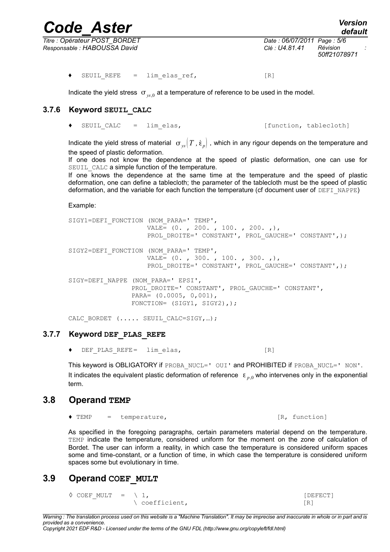*Titre : Opérateur POST\_BORDET Date : 06/07/2011 Page : 5/6 Responsable : HABOUSSA David Clé : U4.81.41 Révision :*

*50ff21078971*

SEUIL REFE = lim elas ref,  $[R]$ 

Indicate the yield stress  $\sigma_{ws,0}$  at a temperature of reference to be used in the model.

#### **3.7.6 Keyword SEUIL\_CALC**

SEUIL CALC = lim\_elas, [function, tablecloth]

Indicate the yield stress of material  $\sigma_{vs} (T, \dot{\epsilon}_p)$ , which in any rigour depends on the temperature and the speed of plastic deformation.

If one does not know the dependence at the speed of plastic deformation, one can use for SEUIL CALC a simple function of the temperature.

If one knows the dependence at the same time at the temperature and the speed of plastic deformation, one can define a tablecloth; the parameter of the tablecloth must be the speed of plastic deformation, and the variable for each function the temperature (cf document user of DEFI\_NAPPE)

Example:

SIGY1=DEFI\_FONCTION (NOM\_PARA=' TEMP', VALE= (0. , 200. , 100. , 200. ,), PROL DROITE=' CONSTANT', PROL GAUCHE=' CONSTANT',); SIGY2=DEFI\_FONCTION (NOM\_PARA=' TEMP', VALE= (0. , 300. , 100. , 300. ,), PROL DROITE=' CONSTANT', PROL GAUCHE=' CONSTANT',); SIGY=DEFI\_NAPPE (NOM\_PARA=' EPSI', PROL\_DROITE=' CONSTANT', PROL GAUCHE=' CONSTANT', PARA= (0.0005, 0,001), FONCTION= (SIGY1, SIGY2), ); CALC BORDET (..... SEUIL CALC=SIGY, ...);

#### **3.7.7 Keyword DEF\_PLAS\_REFE**

◆ DEF\_PLAS\_REFE= lim\_elas, [R]

This keyword is OBLIGATORY if PROBA\_NUCL=' OUI' and PROHIBITED if PROBA\_NUCL=' NON'. It indicates the equivalent plastic deformation of reference  $\epsilon_{n,0}$  who intervenes only in the exponential term.

#### **3.8 Operand TEMP**

♦ TEMP = temperature, [R, function]

As specified in the foregoing paragraphs, certain parameters material depend on the temperature. TEMP indicate the temperature, considered uniform for the moment on the zone of calculation of Bordet. The user can inform a reality, in which case the temperature is considered uniform spaces some and time-constant, or a function of time, in which case the temperature is considered uniform spaces some but evolutionary in time.

#### **3.9 Operand COEF\_MULT**

 $\Diamond$  COEF MULT =  $\setminus 1$ , [DEFECT] \ coefficient, [R]